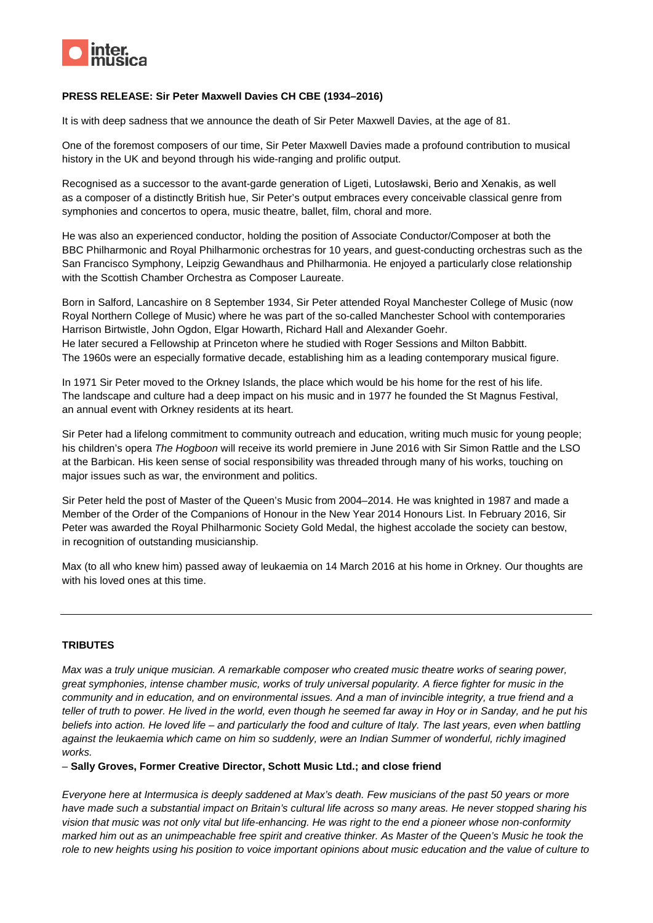

## **PRESS RELEASE: Sir Peter Maxwell Davies CH CBE (1934–2016)**

It is with deep sadness that we announce the death of Sir Peter Maxwell Davies, at the age of 81.

One of the foremost composers of our time, Sir Peter Maxwell Davies made a profound contribution to musical history in the UK and beyond through his wide-ranging and prolific output.

Recognised as a successor to the avant-garde generation of Ligeti, Lutosławski, Berio and Xenakis, as well as a composer of a distinctly British hue, Sir Peter's output embraces every conceivable classical genre from symphonies and concertos to opera, music theatre, ballet, film, choral and more.

He was also an experienced conductor, holding the position of Associate Conductor/Composer at both the BBC Philharmonic and Royal Philharmonic orchestras for 10 years, and guest-conducting orchestras such as the San Francisco Symphony, Leipzig Gewandhaus and Philharmonia. He enjoyed a particularly close relationship with the Scottish Chamber Orchestra as Composer Laureate.

Born in Salford, Lancashire on 8 September 1934, Sir Peter attended Royal Manchester College of Music (now Royal Northern College of Music) where he was part of the so-called Manchester School with contemporaries Harrison Birtwistle, John Ogdon, Elgar Howarth, Richard Hall and Alexander Goehr. He later secured a Fellowship at Princeton where he studied with Roger Sessions and Milton Babbitt. The 1960s were an especially formative decade, establishing him as a leading contemporary musical figure.

In 1971 Sir Peter moved to the Orkney Islands, the place which would be his home for the rest of his life. The landscape and culture had a deep impact on his music and in 1977 he founded the St Magnus Festival, an annual event with Orkney residents at its heart.

Sir Peter had a lifelong commitment to community outreach and education, writing much music for young people; his children's opera *The Hogboon* will receive its world premiere in June 2016 with Sir Simon Rattle and the LSO at the Barbican. His keen sense of social responsibility was threaded through many of his works, touching on major issues such as war, the environment and politics.

Sir Peter held the post of Master of the Queen's Music from 2004–2014. He was knighted in 1987 and made a Member of the Order of the Companions of Honour in the New Year 2014 Honours List. In February 2016, Sir Peter was awarded the Royal Philharmonic Society Gold Medal, the highest accolade the society can bestow, in recognition of outstanding musicianship.

Max (to all who knew him) passed away of leukaemia on 14 March 2016 at his home in Orkney. Our thoughts are with his loved ones at this time.

# **TRIBUTES**

*Max was a truly unique musician. A remarkable composer who created music theatre works of searing power, great symphonies, intense chamber music, works of truly universal popularity. A fierce fighter for music in the community and in education, and on environmental issues. And a man of invincible integrity, a true friend and a teller of truth to power. He lived in the world, even though he seemed far away in Hoy or in Sanday, and he put his beliefs into action. He loved life – and particularly the food and culture of Italy. The last years, even when battling against the leukaemia which came on him so suddenly, were an Indian Summer of wonderful, richly imagined works.*

*–* **Sally Groves, Former Creative Director, Schott Music Ltd.; and close friend** 

*Everyone here at Intermusica is deeply saddened at Max's death. Few musicians of the past 50 years or more have made such a substantial impact on Britain's cultural life across so many areas. He never stopped sharing his vision that music was not only vital but life-enhancing. He was right to the end a pioneer whose non-conformity marked him out as an unimpeachable free spirit and creative thinker. As Master of the Queen's Music he took the role to new heights using his position to voice important opinions about music education and the value of culture to*